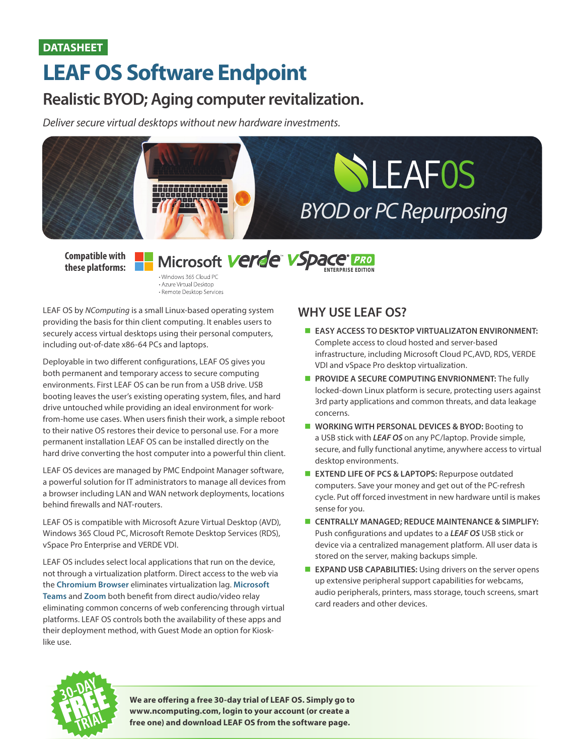## **DATASHEET**

# **LEAF OS Software Endpoint**

## **Realistic BYOD; Aging computer revitalization.**

*Deliver secure virtual desktops without new hardware investments.*



**Compatible with these platforms:** **Microsoft Verde VSpace PRO** • Windows 365 Cloud PC

• Azure Virtual Desktop · Remote Desktop Services

LEAF OS by *NComputing* is a small Linux-based operating system providing the basis for thin client computing. It enables users to securely access virtual desktops using their personal computers, including out-of-date x86-64 PCs and laptops.

Deployable in two different configurations, LEAF OS gives you both permanent and temporary access to secure computing environments. First LEAF OS can be run from a USB drive. USB booting leaves the user's existing operating system, files, and hard drive untouched while providing an ideal environment for workfrom-home use cases. When users finish their work, a simple reboot to their native OS restores their device to personal use. For a more permanent installation LEAF OS can be installed directly on the hard drive converting the host computer into a powerful thin client.

LEAF OS devices are managed by PMC Endpoint Manager software, a powerful solution for IT administrators to manage all devices from a browser including LAN and WAN network deployments, locations behind firewalls and NAT-routers.

LEAF OS is compatible with Microsoft Azure Virtual Desktop (AVD), Windows 365 Cloud PC, Microsoft Remote Desktop Services (RDS), vSpace Pro Enterprise and VERDE VDI.

LEAF OS includes select local applications that run on the device, not through a virtualization platform. Direct access to the web via the **Chromium Browser** eliminates virtualization lag. **Microsoft Teams** and **Zoom** both benefit from direct audio/video relay eliminating common concerns of web conferencing through virtual platforms. LEAF OS controls both the availability of these apps and their deployment method, with Guest Mode an option for Kiosklike use.

## **WHY USE LEAF OS?**

- **EASY ACCESS TO DESKTOP VIRTUALIZATON ENVIRONMENT:** Complete access to cloud hosted and server-based infrastructure, including Microsoft Cloud PC,AVD, RDS, VERDE VDI and vSpace Pro desktop virtualization.
- **PROVIDE A SECURE COMPUTING ENVRIONMENT:** The fully locked-down Linux platform is secure, protecting users against 3rd party applications and common threats, and data leakage concerns.
- **NORKING WITH PERSONAL DEVICES & BYOD:** Booting to a USB stick with *LEAF OS* on any PC/laptop. Provide simple, secure, and fully functional anytime, anywhere access to virtual desktop environments.
- **EXTEND LIFE OF PCS & LAPTOPS:** Repurpose outdated computers. Save your money and get out of the PC-refresh cycle. Put off forced investment in new hardware until is makes sense for you.
- **E** CENTRALLY MANAGED; REDUCE MAINTENANCE & SIMPLIFY: Push configurations and updates to a *LEAF OS* USB stick or device via a centralized management platform. All user data is stored on the server, making backups simple.
- **EXPAND USB CAPABILITIES:** Using drivers on the server opens up extensive peripheral support capabilities for webcams, audio peripherals, printers, mass storage, touch screens, smart card readers and other devices.



**We are offering a free 30-day trial of LEAF OS. Simply go to www.ncomputing.com, login to your account (or create a free one) and download LEAF OS from the software page.**